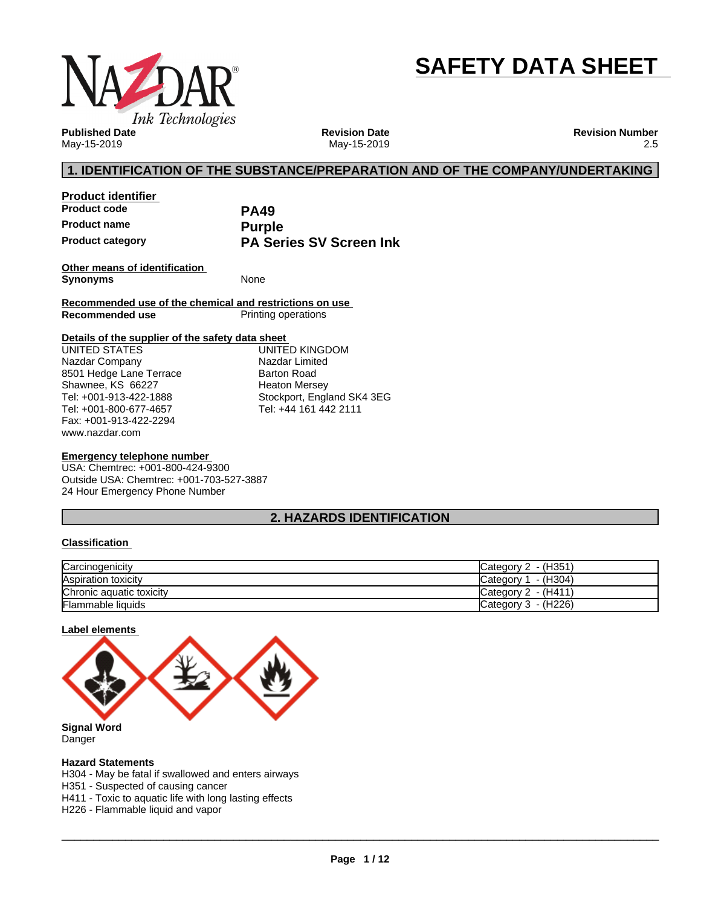

# **SAFETY DATA SHEET**

**Published Date** May-15-2019

**Revision Date** May-15-2019 **Revision Number** 2.5

### **1. IDENTIFICATION OF THE SUBSTANCE/PREPARATION AND OF THE COMPANY/UNDERTAKING**

**Product identifier Product code PA49 Product name**<br> **Product category**<br> **PA Services PA Series SV Screen Ink** 

**Other means of identification Synonyms** None

**Recommended use of the chemical and restrictions on use Printing operations** 

#### **Details of the supplier of the safety data sheet**

www.nazdar.com UNITED STATES Nazdar Company 8501 Hedge Lane Terrace Shawnee, KS 66227 Tel: +001-913-422-1888 Tel: +001-800-677-4657 Fax: +001-913-422-2294

UNITED KINGDOM Nazdar Limited Barton Road Heaton Mersey Stockport, England SK4 3EG Tel: +44 161 442 2111

#### **Emergency telephone number**

USA: Chemtrec: +001-800-424-9300 Outside USA: Chemtrec: +001-703-527-3887 24 Hour Emergency Phone Number

### **2. HAZARDS IDENTIFICATION**

#### **Classification**

| Carcinogenicity          | Category $2 - (H351)$  |
|--------------------------|------------------------|
| Aspiration toxicity      | - (H304)<br>Category 1 |
| Chronic aquatic toxicity | Category 2 - (H411)    |
| <b>Flammable liquids</b> | Category $3 - (H226)$  |

#### **Label elements**



Danger

#### **Hazard Statements**

H304 - May be fatal if swallowed and enters airways

H351 - Suspected of causing cancer

H411 - Toxic to aquatic life with long lasting effects

H226 - Flammable liquid and vapor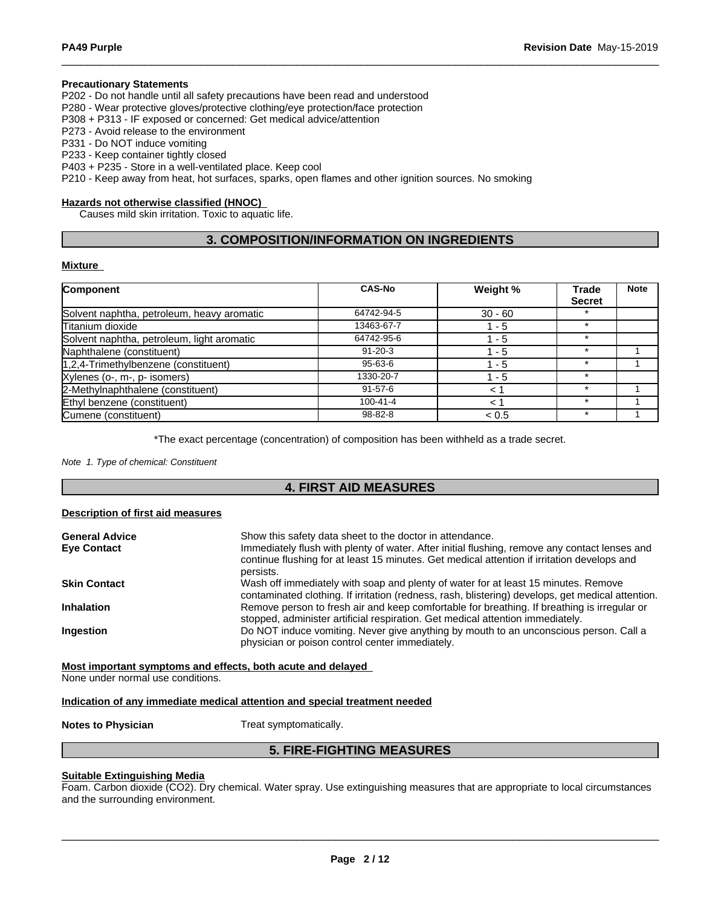#### **Precautionary Statements**

P202 - Do not handle until all safety precautions have been read and understood

P280 - Wear protective gloves/protective clothing/eye protection/face protection

P308 + P313 - IF exposed or concerned: Get medical advice/attention

P273 - Avoid release to the environment

P331 - Do NOT induce vomiting

P233 - Keep container tightly closed

P403 + P235 - Store in a well-ventilated place. Keep cool

P210 - Keep away from heat, hot surfaces, sparks, open flames and other ignition sources. No smoking

#### **Hazards not otherwise classified (HNOC)**

Causes mild skin irritation. Toxic to aquatic life.

### **3. COMPOSITION/INFORMATION ON INGREDIENTS**

#### **Mixture**

| Component                                  | <b>CAS-No</b>  | Weight %  | <b>Trade</b>  | <b>Note</b> |
|--------------------------------------------|----------------|-----------|---------------|-------------|
|                                            |                |           | <b>Secret</b> |             |
| Solvent naphtha, petroleum, heavy aromatic | 64742-94-5     | $30 - 60$ |               |             |
| Titanium dioxide                           | 13463-67-7     | 1 - 5     | $\star$       |             |
| Solvent naphtha, petroleum, light aromatic | 64742-95-6     | $1 - 5$   |               |             |
| Naphthalene (constituent)                  | $91 - 20 - 3$  | 1 - 5     | $\star$       |             |
| $1,2,4$ -Trimethylbenzene (constituent)    | 95-63-6        | - 5       |               |             |
| Xylenes (o-, m-, p- isomers)               | 1330-20-7      | 1 - 5     |               |             |
| 2-Methylnaphthalene (constituent)          | $91 - 57 - 6$  | $\leq$    | $\star$       |             |
| Ethyl benzene (constituent)                | $100 - 41 - 4$ | 1 >       |               |             |
| Cumene (constituent)                       | $98 - 82 - 8$  | < 0.5     | $\star$       |             |

\*The exact percentage (concentration) of composition has been withheld as a trade secret.

*Note 1. Type of chemical: Constituent*

### **4. FIRST AID MEASURES**

#### **Description of first aid measures**

| <b>General Advice</b><br><b>Eve Contact</b> | Show this safety data sheet to the doctor in attendance.<br>Immediately flush with plenty of water. After initial flushing, remove any contact lenses and<br>continue flushing for at least 15 minutes. Get medical attention if irritation develops and<br>persists. |
|---------------------------------------------|-----------------------------------------------------------------------------------------------------------------------------------------------------------------------------------------------------------------------------------------------------------------------|
| <b>Skin Contact</b>                         | Wash off immediately with soap and plenty of water for at least 15 minutes. Remove<br>contaminated clothing. If irritation (redness, rash, blistering) develops, get medical attention.                                                                               |
| <b>Inhalation</b>                           | Remove person to fresh air and keep comfortable for breathing. If breathing is irregular or<br>stopped, administer artificial respiration. Get medical attention immediately.                                                                                         |
| Ingestion                                   | Do NOT induce vomiting. Never give anything by mouth to an unconscious person. Call a<br>physician or poison control center immediately.                                                                                                                              |

**Most important symptoms and effects, both acute and delayed**

None under normal use conditions.

#### **Indication of any immediate medical attention and special treatment needed**

**Notes to Physician** Treat symptomatically.

### **5. FIRE-FIGHTING MEASURES**

#### **Suitable Extinguishing Media**

Foam. Carbon dioxide (CO2). Dry chemical. Water spray. Use extinguishing measures that are appropriate to local circumstances and the surrounding environment.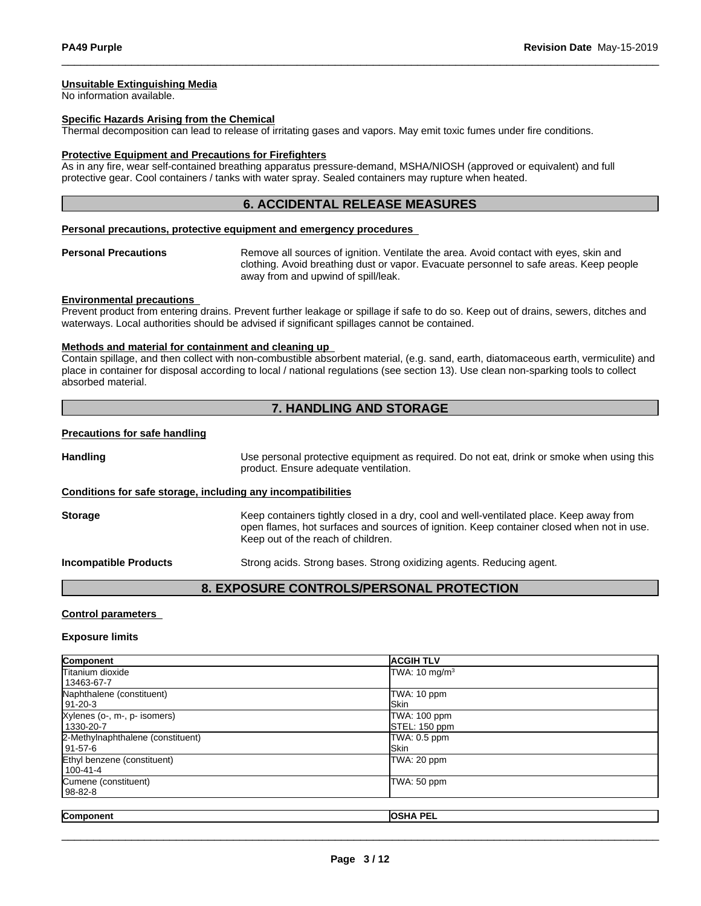#### **Unsuitable Extinguishing Media**

No information available.

#### **Specific Hazards Arising from the Chemical**

Thermal decomposition can lead to release of irritating gases and vapors. May emit toxic fumes under fire conditions.

#### **Protective Equipment and Precautions for Firefighters**

As in any fire, wear self-contained breathing apparatus pressure-demand, MSHA/NIOSH (approved or equivalent) and full protective gear. Cool containers / tanks with water spray. Sealed containers may rupture when heated.

#### **6. ACCIDENTAL RELEASE MEASURES**

#### **Personal precautions, protective equipment and emergency procedures**

**Personal Precautions** Remove all sources of ignition. Ventilate the area. Avoid contact with eyes, skin and clothing. Avoid breathing dust or vapor. Evacuate personnel to safe areas. Keep people away from and upwind of spill/leak.

#### **Environmental precautions**

Prevent product from entering drains. Prevent further leakage or spillage if safe to do so. Keep out of drains, sewers, ditches and waterways. Local authorities should be advised if significant spillages cannot be contained.

#### **Methods and material for containment and cleaning up**

Contain spillage, and then collectwith non-combustible absorbent material, (e.g. sand, earth, diatomaceous earth, vermiculite) and place in container for disposal according to local / national regulations (see section 13). Use clean non-sparking tools to collect absorbed material.

### **7. HANDLING AND STORAGE**

#### **Precautions for safe handling**

**Handling** Use personal protective equipment as required. Do not eat, drink or smoke when using this product. Ensure adequate ventilation. **Conditions for safe storage, including any incompatibilities**

**Storage** Keep containers tightly closed in a dry, cool and well-ventilated place. Keep away from open flames, hot surfaces and sources of ignition. Keep container closed when not in use. Keep out of the reach of children.

**Incompatible Products** Strong acids. Strong bases. Strong oxidizing agents. Reducing agent.

#### **8. EXPOSURE CONTROLS/PERSONAL PROTECTION**

#### **Control parameters**

#### **Exposure limits**

| Component                         | <b>ACGIH TLV</b>          |  |
|-----------------------------------|---------------------------|--|
| <b>Titanium dioxide</b>           | TWA: 10 mg/m <sup>3</sup> |  |
| 13463-67-7                        |                           |  |
| Naphthalene (constituent)         | TWA: 10 ppm               |  |
| 91-20-3                           | <b>Skin</b>               |  |
| Xylenes (o-, m-, p- isomers)      | TWA: 100 ppm              |  |
| 1330-20-7                         | STEL: 150 ppm             |  |
| 2-Methylnaphthalene (constituent) | TWA: 0.5 ppm              |  |
| 91-57-6                           | <b>I</b> Skin             |  |
| Ethyl benzene (constituent)       | TWA: 20 ppm               |  |
| l 100-41-4                        |                           |  |
| Cumene (constituent)              | TWA: 50 ppm               |  |
| 98-82-8                           |                           |  |
|                                   |                           |  |
| Component                         | <b>OSHA PEL</b>           |  |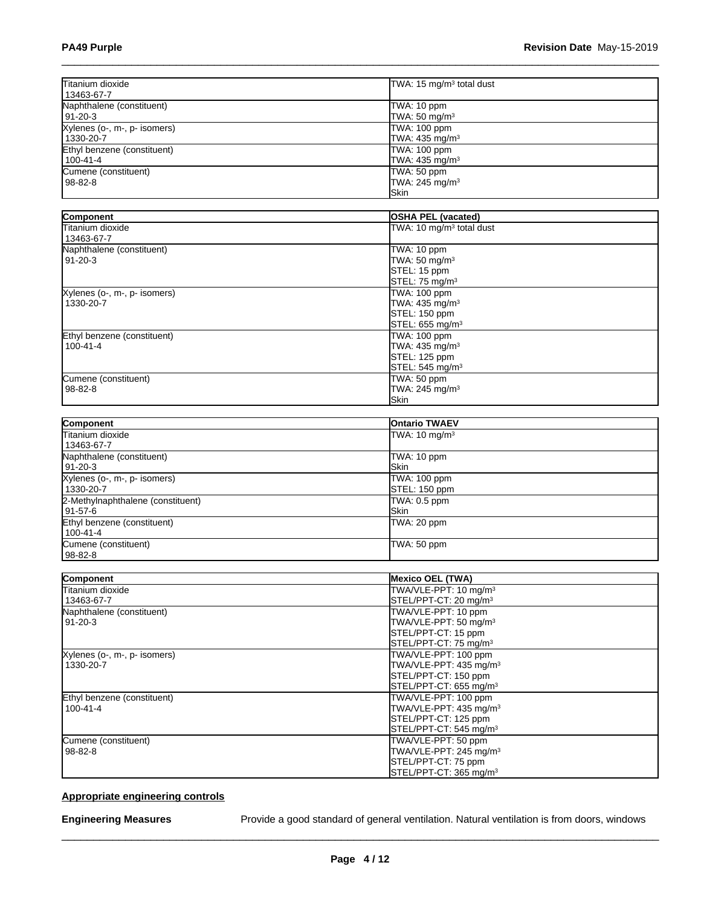| Titanium dioxide<br>13463-67-7              | TWA: 15 mg/m <sup>3</sup> total dust                        |  |
|---------------------------------------------|-------------------------------------------------------------|--|
| Naphthalene (constituent)<br> 91-20-3       | TWA: 10 ppm<br>TWA: $50 \text{ mg/m}^3$                     |  |
| Xylenes (o-, m-, p- isomers)<br>l 1330-20-7 | TWA: 100 ppm<br>TWA: 435 mg/m <sup>3</sup>                  |  |
| Ethyl benzene (constituent)<br>  100-41-4   | TWA: 100 ppm<br>TWA: 435 mg/m <sup>3</sup>                  |  |
| Cumene (constituent)<br>  98-82-8           | TWA: 50 ppm<br>TWA: $245$ mg/m <sup>3</sup><br><b>ISkin</b> |  |

| Component                    | <b>OSHA PEL (vacated)</b>            |  |
|------------------------------|--------------------------------------|--|
| Titanium dioxide             | TWA: 10 mg/m <sup>3</sup> total dust |  |
| 13463-67-7                   |                                      |  |
| Naphthalene (constituent)    | TWA: 10 ppm                          |  |
| 91-20-3                      | TWA: 50 mg/m <sup>3</sup>            |  |
|                              | STEL: 15 ppm                         |  |
|                              | STEL: 75 mg/m <sup>3</sup>           |  |
| Xylenes (o-, m-, p- isomers) | TWA: 100 ppm                         |  |
| 1330-20-7                    | TWA: 435 mg/m <sup>3</sup>           |  |
|                              | STEL: 150 ppm                        |  |
|                              | STEL: 655 mg/m <sup>3</sup>          |  |
| Ethyl benzene (constituent)  | TWA: 100 ppm                         |  |
| $100 - 41 - 4$               | TWA: $435 \text{ mg/m}^3$            |  |
|                              | STEL: 125 ppm                        |  |
|                              | STEL: 545 mg/m <sup>3</sup>          |  |
| Cumene (constituent)         | TWA: 50 ppm                          |  |
| $98 - 82 - 8$                | TWA: 245 mg/m <sup>3</sup>           |  |
|                              | <b>Skin</b>                          |  |

| Component                         | <b>Ontario TWAEV</b>     |
|-----------------------------------|--------------------------|
| Titanium dioxide                  | TWA: $10 \text{ mg/m}^3$ |
| 13463-67-7                        |                          |
| Naphthalene (constituent)         | TWA: 10 ppm              |
| 191-20-3                          | <b>ISkin</b>             |
| Xylenes (o-, m-, p- isomers)      | TWA: 100 ppm             |
| 1330-20-7                         | STEL: 150 ppm            |
| 2-Methylnaphthalene (constituent) | TWA: 0.5 ppm             |
| l 91-57-6                         | <b>ISkin</b>             |
| Ethyl benzene (constituent)       | TWA: 20 ppm              |
| 100-41-4                          |                          |
| Cumene (constituent)              | TWA: 50 ppm              |
| 98-82-8                           |                          |

| Component                    | <b>Mexico OEL (TWA)</b>            |
|------------------------------|------------------------------------|
| Titanium dioxide             | TWA/VLE-PPT: 10 mg/m <sup>3</sup>  |
| 13463-67-7                   | STEL/PPT-CT: 20 mg/m <sup>3</sup>  |
| Naphthalene (constituent)    | TWA/VLE-PPT: 10 ppm                |
| $91 - 20 - 3$                | TWA/VLE-PPT: 50 mg/m <sup>3</sup>  |
|                              | STEL/PPT-CT: 15 ppm                |
|                              | STEL/PPT-CT: 75 mg/m <sup>3</sup>  |
| Xylenes (o-, m-, p- isomers) | TWA/VLE-PPT: 100 ppm               |
| 1330-20-7                    | TWA/VLE-PPT: 435 mg/m <sup>3</sup> |
|                              | STEL/PPT-CT: 150 ppm               |
|                              | STEL/PPT-CT: 655 mg/m <sup>3</sup> |
| Ethyl benzene (constituent)  | TWA/VLE-PPT: 100 ppm               |
| $100 - 41 - 4$               | TWA/VLE-PPT: 435 mg/m <sup>3</sup> |
|                              | STEL/PPT-CT: 125 ppm               |
|                              | STEL/PPT-CT: 545 mg/m <sup>3</sup> |
| Cumene (constituent)         | TWA/VLE-PPT: 50 ppm                |
| $98 - 82 - 8$                | TWA/VLE-PPT: 245 mg/m <sup>3</sup> |
|                              | STEL/PPT-CT: 75 ppm                |
|                              | STEL/PPT-CT: 365 mg/m <sup>3</sup> |

### **Appropriate engineering controls**

**Engineering Measures** Provide a good standard of general ventilation. Natural ventilation is from doors, windows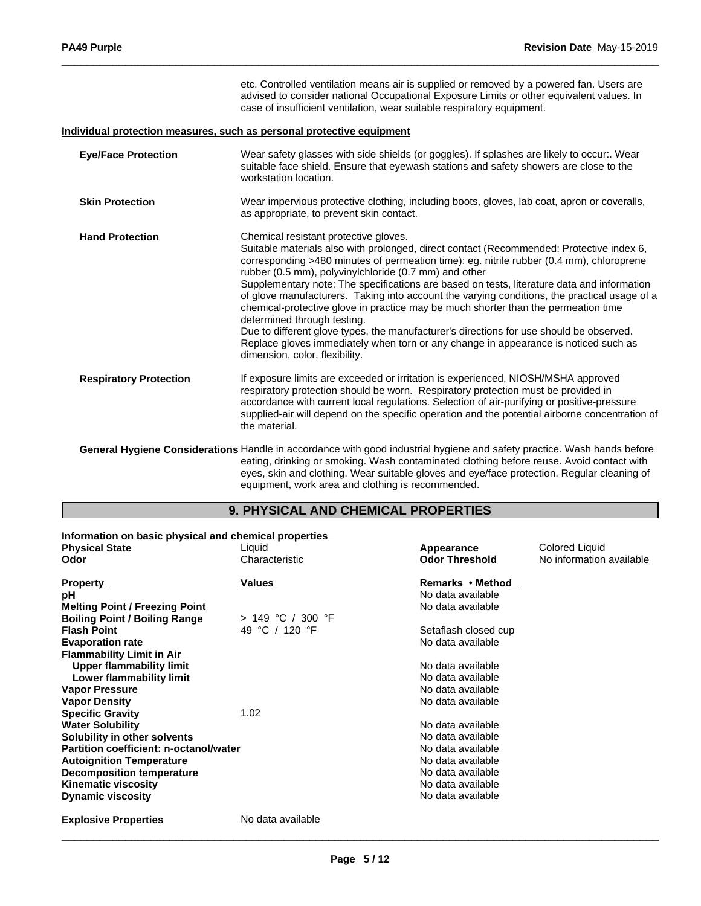|                               | etc. Controlled ventilation means air is supplied or removed by a powered fan. Users are<br>advised to consider national Occupational Exposure Limits or other equivalent values. In<br>case of insufficient ventilation, wear suitable respiratory equipment.                                                                                                                                                                                                                                                                                                                                                                                                                                                                                                                                                                |
|-------------------------------|-------------------------------------------------------------------------------------------------------------------------------------------------------------------------------------------------------------------------------------------------------------------------------------------------------------------------------------------------------------------------------------------------------------------------------------------------------------------------------------------------------------------------------------------------------------------------------------------------------------------------------------------------------------------------------------------------------------------------------------------------------------------------------------------------------------------------------|
|                               | Individual protection measures, such as personal protective equipment                                                                                                                                                                                                                                                                                                                                                                                                                                                                                                                                                                                                                                                                                                                                                         |
| <b>Eye/Face Protection</b>    | Wear safety glasses with side shields (or goggles). If splashes are likely to occur:. Wear<br>suitable face shield. Ensure that eyewash stations and safety showers are close to the<br>workstation location.                                                                                                                                                                                                                                                                                                                                                                                                                                                                                                                                                                                                                 |
| <b>Skin Protection</b>        | Wear impervious protective clothing, including boots, gloves, lab coat, apron or coveralls,<br>as appropriate, to prevent skin contact.                                                                                                                                                                                                                                                                                                                                                                                                                                                                                                                                                                                                                                                                                       |
| <b>Hand Protection</b>        | Chemical resistant protective gloves.<br>Suitable materials also with prolonged, direct contact (Recommended: Protective index 6,<br>corresponding >480 minutes of permeation time): eg. nitrile rubber (0.4 mm), chloroprene<br>rubber (0.5 mm), polyvinylchloride (0.7 mm) and other<br>Supplementary note: The specifications are based on tests, literature data and information<br>of glove manufacturers. Taking into account the varying conditions, the practical usage of a<br>chemical-protective glove in practice may be much shorter than the permeation time<br>determined through testing.<br>Due to different glove types, the manufacturer's directions for use should be observed.<br>Replace gloves immediately when torn or any change in appearance is noticed such as<br>dimension, color, flexibility. |
| <b>Respiratory Protection</b> | If exposure limits are exceeded or irritation is experienced, NIOSH/MSHA approved<br>respiratory protection should be worn. Respiratory protection must be provided in<br>accordance with current local regulations. Selection of air-purifying or positive-pressure<br>supplied-air will depend on the specific operation and the potential airborne concentration of<br>the material.                                                                                                                                                                                                                                                                                                                                                                                                                                       |
|                               | General Hygiene Considerations Handle in accordance with good industrial hygiene and safety practice. Wash hands before<br>eating, drinking or smoking. Wash contaminated clothing before reuse. Avoid contact with<br>eyes, skin and clothing. Wear suitable gloves and eye/face protection. Regular cleaning of                                                                                                                                                                                                                                                                                                                                                                                                                                                                                                             |

## **9. PHYSICAL AND CHEMICAL PROPERTIES**

equipment, work area and clothing is recommended.

| Information on basic physical and chemical properties |                     |                       |                          |
|-------------------------------------------------------|---------------------|-----------------------|--------------------------|
| <b>Physical State</b>                                 | Liquid              | Appearance            | Colored Liquid           |
| Odor                                                  | Characteristic      | <b>Odor Threshold</b> | No information available |
| <b>Property</b>                                       | Values              | Remarks • Method      |                          |
| рH                                                    |                     | No data available     |                          |
| <b>Melting Point / Freezing Point</b>                 |                     | No data available     |                          |
| <b>Boiling Point / Boiling Range</b>                  | $> 149$ °C / 300 °F |                       |                          |
| <b>Flash Point</b>                                    | 49 °C / 120 °F      | Setaflash closed cup  |                          |
| <b>Evaporation rate</b>                               |                     | No data available     |                          |
| <b>Flammability Limit in Air</b>                      |                     |                       |                          |
| <b>Upper flammability limit</b>                       |                     | No data available     |                          |
| Lower flammability limit                              |                     | No data available     |                          |
| <b>Vapor Pressure</b>                                 |                     | No data available     |                          |
| <b>Vapor Density</b>                                  |                     | No data available     |                          |
| <b>Specific Gravity</b>                               | 1.02                |                       |                          |
| <b>Water Solubility</b>                               |                     | No data available     |                          |
| Solubility in other solvents                          |                     | No data available     |                          |
| Partition coefficient: n-octanol/water                |                     | No data available     |                          |
| <b>Autoignition Temperature</b>                       |                     | No data available     |                          |
| <b>Decomposition temperature</b>                      |                     | No data available     |                          |
| <b>Kinematic viscosity</b>                            |                     | No data available     |                          |
| <b>Dynamic viscosity</b>                              |                     | No data available     |                          |
| <b>Explosive Properties</b>                           | No data available   |                       |                          |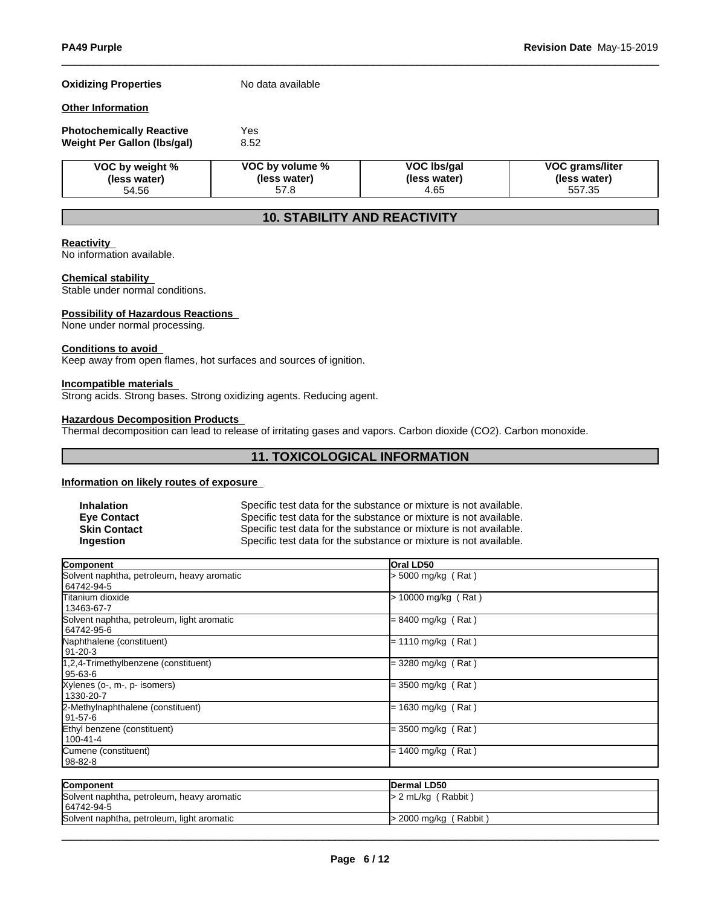### **Oxidizing Properties** No data available

#### **Other Information**

| <b>Photochemically Reactive</b> | Yes  |  |
|---------------------------------|------|--|
| Weight Per Gallon (Ibs/gal)     | 8.52 |  |

| VOC by weight % | VOC by volume % | VOC Ibs/gal  | <b>VOC grams/liter</b> |
|-----------------|-----------------|--------------|------------------------|
| (less water)    | (less water)    | (less water) | (less water)           |
| 54.56           | 57.8            | 4.65         | 557.35                 |

### **10. STABILITY AND REACTIVITY**

#### **Reactivity**

No information available.

#### **Chemical stability**

Stable under normal conditions.

#### **Possibility of Hazardous Reactions**

None under normal processing.

#### **Conditions to avoid**

Keep away from open flames, hot surfaces and sources of ignition.

#### **Incompatible materials**

Strong acids. Strong bases. Strong oxidizing agents. Reducing agent.

### **Hazardous Decomposition Products**

Thermal decomposition can lead to release of irritating gases and vapors. Carbon dioxide (CO2). Carbon monoxide.

### **11. TOXICOLOGICAL INFORMATION**

#### **Information on likely routes of exposure**

| Inhalation          | Specific test data for the substance or mixture is not available. |
|---------------------|-------------------------------------------------------------------|
| <b>Eye Contact</b>  | Specific test data for the substance or mixture is not available. |
| <b>Skin Contact</b> | Specific test data for the substance or mixture is not available. |
| Ingestion           | Specific test data for the substance or mixture is not available. |

| <b>Component</b>                                         | Oral LD50            |  |
|----------------------------------------------------------|----------------------|--|
| Solvent naphtha, petroleum, heavy aromatic<br>64742-94-5 | > 5000 mg/kg (Rat)   |  |
| lTitanium dioxide<br>13463-67-7                          | > 10000 mg/kg (Rat)  |  |
| Solvent naphtha, petroleum, light aromatic<br>64742-95-6 | $= 8400$ mg/kg (Rat) |  |
| Naphthalene (constituent)<br>91-20-3                     | = 1110 mg/kg (Rat)   |  |
| 1,2,4-Trimethylbenzene (constituent)<br>$95-63-6$        | = 3280 mg/kg (Rat)   |  |
| Xylenes (o-, m-, p- isomers)<br>1330-20-7                | = 3500 mg/kg (Rat)   |  |
| 2-Methylnaphthalene (constituent)<br>l 91-57-6           | = 1630 mg/kg (Rat)   |  |
| Ethyl benzene (constituent)<br>100-41-4                  | = 3500 mg/kg (Rat)   |  |
| Cumene (constituent)<br>98-82-8                          | = 1400 mg/kg (Rat)   |  |

| Component                                                | <b>IDermal LD50</b>     |
|----------------------------------------------------------|-------------------------|
| Solvent naphtha, petroleum, heavy aromatic<br>64742-94-5 | $> 2$ mL/kg (Rabbit)    |
| Solvent naphtha, petroleum, light aromatic               | $>$ 2000 mg/kg (Rabbit) |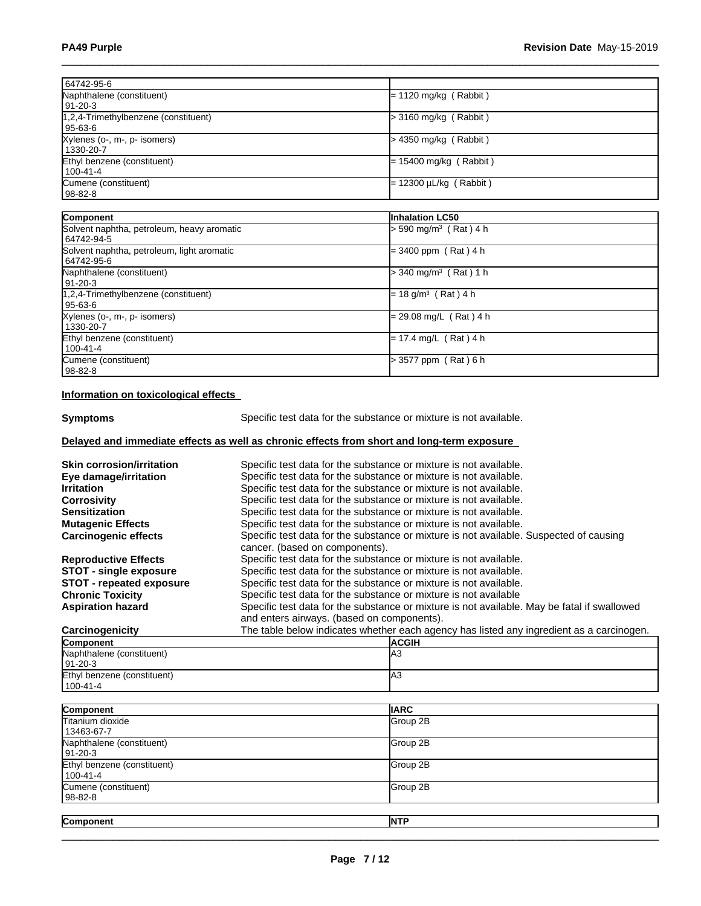| 64742-95-6                                 |                                     |
|--------------------------------------------|-------------------------------------|
| Naphthalene (constituent)                  | = 1120 mg/kg (Rabbit)               |
| 91-20-3                                    |                                     |
| 1,2,4-Trimethylbenzene (constituent)       | $>$ 3160 mg/kg (Rabbit)             |
| 95-63-6                                    |                                     |
| Xylenes (o-, m-, p- isomers)               | > 4350 mg/kg (Rabbit)               |
| 1330-20-7                                  |                                     |
| Ethyl benzene (constituent)                | $= 15400$ mg/kg (Rabbit)            |
| $100 - 41 - 4$                             |                                     |
| Cumene (constituent)                       | = 12300 µL/kg ( Rabbit )            |
| 98-82-8                                    |                                     |
|                                            |                                     |
| Component                                  | Inhalation LC50                     |
| Solvent naphtha, petroleum, heavy aromatic | 590 mg/m <sup>3</sup> (Rat) 4 h     |
| 64742-94-5                                 |                                     |
| Solvent naphtha, petroleum, light aromatic | $= 3400$ ppm (Rat) 4 h              |
| 64742-95-6                                 |                                     |
| Naphthalene (constituent)                  | $>$ 340 mg/m <sup>3</sup> (Rat) 1 h |
| 91-20-3                                    |                                     |
| 1,2,4-Trimethylbenzene (constituent)       | $= 18$ g/m <sup>3</sup> (Rat) 4 h   |
| 95-63-6                                    |                                     |
| Xylenes (o-, m-, p- isomers)               | = 29.08 mg/L (Rat) 4 h              |
| 1330-20-7                                  |                                     |
| Ethyl benzene (constituent)                | $= 17.4$ mg/L (Rat) 4 h             |
| 100-41-4                                   |                                     |
| Cumene (constituent)                       | > 3577 ppm (Rat) 6 h                |
| 98-82-8                                    |                                     |

### **Information on toxicological effects**

**Symptoms** Specific test data for the substance or mixture is not available.

### **Delayed and immediate effects as well as chronic effects from short and long-term exposure**

| <b>Skin corrosion/irritation</b> | Specific test data for the substance or mixture is not available.                                                        |
|----------------------------------|--------------------------------------------------------------------------------------------------------------------------|
| Eye damage/irritation            | Specific test data for the substance or mixture is not available.                                                        |
| <b>Irritation</b>                | Specific test data for the substance or mixture is not available.                                                        |
| <b>Corrosivity</b>               | Specific test data for the substance or mixture is not available.                                                        |
| <b>Sensitization</b>             | Specific test data for the substance or mixture is not available.                                                        |
| <b>Mutagenic Effects</b>         | Specific test data for the substance or mixture is not available.                                                        |
| <b>Carcinogenic effects</b>      | Specific test data for the substance or mixture is not available. Suspected of causing<br>cancer. (based on components). |
| <b>Reproductive Effects</b>      | Specific test data for the substance or mixture is not available.                                                        |
| <b>STOT - single exposure</b>    | Specific test data for the substance or mixture is not available.                                                        |
| <b>STOT</b> - repeated exposure  | Specific test data for the substance or mixture is not available.                                                        |
| <b>Chronic Toxicity</b>          | Specific test data for the substance or mixture is not available                                                         |
| <b>Aspiration hazard</b>         | Specific test data for the substance or mixture is not available. May be fatal if swallowed                              |
|                                  | and enters airways. (based on components).                                                                               |
| Carcinogenicity                  | The table below indicates whether each agency has listed any ingredient as a carcinogen.                                 |
| Component                        | <b>ACGIH</b>                                                                                                             |

| Component                   | <b>ACGIH</b> |
|-----------------------------|--------------|
| Naphthalene (constituent)   | IАЗ          |
| $191 - 20 - 3$              |              |
| Ethyl benzene (constituent) | IАЗ          |
| $1100 - 41 - 4$             |              |

| Component                               | <b>IIARC</b> |
|-----------------------------------------|--------------|
| Titanium dioxide<br>13463-67-7          | Group 2B     |
| Naphthalene (constituent)<br> 91-20-3   | Group 2B     |
| Ethyl benzene (constituent)<br>100-41-4 | Group 2B     |
| Cumene (constituent)<br>  98-82-8       | Group 2B     |
| Component                               | <b>NTP</b>   |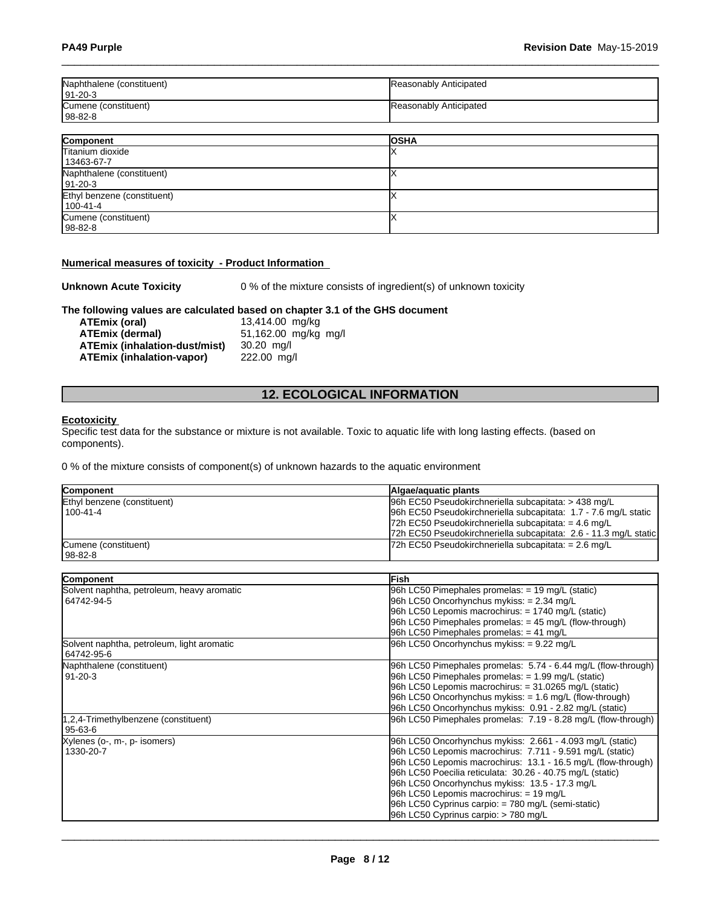| Naphthalene (constituent)<br>  91-20-3 | Reasonably Anticipated |
|----------------------------------------|------------------------|
| Cumene (constituent)<br>l 98-82-8      | Reasonably Anticipated |

| Component                   | <b>OSHA</b> |
|-----------------------------|-------------|
| Titanium dioxide            |             |
| 13463-67-7                  |             |
| Naphthalene (constituent)   |             |
| $ 91-20-3 $                 |             |
| Ethyl benzene (constituent) |             |
| $100 - 41 - 4$              |             |
| Cumene (constituent)        |             |
| $ 98-82-8 $                 |             |

#### **Numerical measures of toxicity - Product Information**

**Unknown Acute Toxicity** 0 % of the mixture consists of ingredient(s) of unknown toxicity

# **The following values are calculated based on chapter 3.1 of the GHS document**

**ATEmix (oral)** 13,414.00 mg/kg<br>**ATEmix (dermal)** 51,162.00 mg/kg **ATEmix (dermal)**51,162.00 mg/kg mg/l **ATEmix (inhalation-dust/mist)** 30.20 mg/l **ATEmix (inhalation-vapor)** 

### **12. ECOLOGICAL INFORMATION**

#### **Ecotoxicity**

Specific test data for the substance or mixture is not available. Toxic to aquatic life with long lasting effects. (based on components).

0 % of the mixture consists of component(s) of unknown hazards to the aquatic environment

| <b>Component</b>            | Algae/aguatic plants                                             |
|-----------------------------|------------------------------------------------------------------|
| Ethyl benzene (constituent) | 96h EC50 Pseudokirchneriella subcapitata: > 438 mg/L             |
| 100-41-4                    | 96h EC50 Pseudokirchneriella subcapitata: 1.7 - 7.6 mg/L static  |
|                             | 72h EC50 Pseudokirchneriella subcapitata: = $4.6 \text{ mg/L}$   |
|                             | 72h EC50 Pseudokirchneriella subcapitata: 2.6 - 11.3 mg/L static |
| Cumene (constituent)        | $72h$ EC50 Pseudokirchneriella subcapitata: = 2.6 mg/L           |
| 98-82-8                     |                                                                  |

| <b>Component</b>                           | <b>IFish</b>                                                  |
|--------------------------------------------|---------------------------------------------------------------|
| Solvent naphtha, petroleum, heavy aromatic | 96h LC50 Pimephales promelas: = 19 mg/L (static)              |
| 64742-94-5                                 | 96h LC50 Oncorhynchus mykiss: = 2.34 mg/L                     |
|                                            | 96h LC50 Lepomis macrochirus: = 1740 mg/L (static)            |
|                                            | 96h LC50 Pimephales promelas: $=$ 45 mg/L (flow-through)      |
|                                            | 96h LC50 Pimephales promelas: $= 41$ mg/L                     |
| Solvent naphtha, petroleum, light aromatic | 96h LC50 Oncorhynchus mykiss: = 9.22 mg/L                     |
| 64742-95-6                                 |                                                               |
| Naphthalene (constituent)                  | 96h LC50 Pimephales promelas: 5.74 - 6.44 mg/L (flow-through) |
| 91-20-3                                    | 96h LC50 Pimephales promelas: = 1.99 mg/L (static)            |
|                                            | $96h$ LC50 Lepomis macrochirus: = 31.0265 mg/L (static)       |
|                                            | $96h$ LC50 Oncorhynchus mykiss: $= 1.6$ mg/L (flow-through)   |
|                                            | 96h LC50 Oncorhynchus mykiss: 0.91 - 2.82 mg/L (static)       |
| 1,2,4-Trimethylbenzene (constituent)       | 96h LC50 Pimephales promelas: 7.19 - 8.28 mg/L (flow-through) |
| 95-63-6                                    |                                                               |
| Xylenes (o-, m-, p- isomers)               | 96h LC50 Oncorhynchus mykiss: 2.661 - 4.093 mg/L (static)     |
| 1330-20-7                                  | 96h LC50 Lepomis macrochirus: 7.711 - 9.591 mg/L (static)     |
|                                            | 96h LC50 Lepomis macrochirus: 13.1 - 16.5 mg/L (flow-through) |
|                                            | 96h LC50 Poecilia reticulata: 30.26 - 40.75 mg/L (static)     |
|                                            | 96h LC50 Oncorhynchus mykiss: 13.5 - 17.3 mg/L                |
|                                            | 96h LC50 Lepomis macrochirus: $= 19$ mg/L                     |
|                                            | 96h LC50 Cyprinus carpio: = 780 mg/L (semi-static)            |
|                                            | 96h LC50 Cyprinus carpio: > 780 mg/L                          |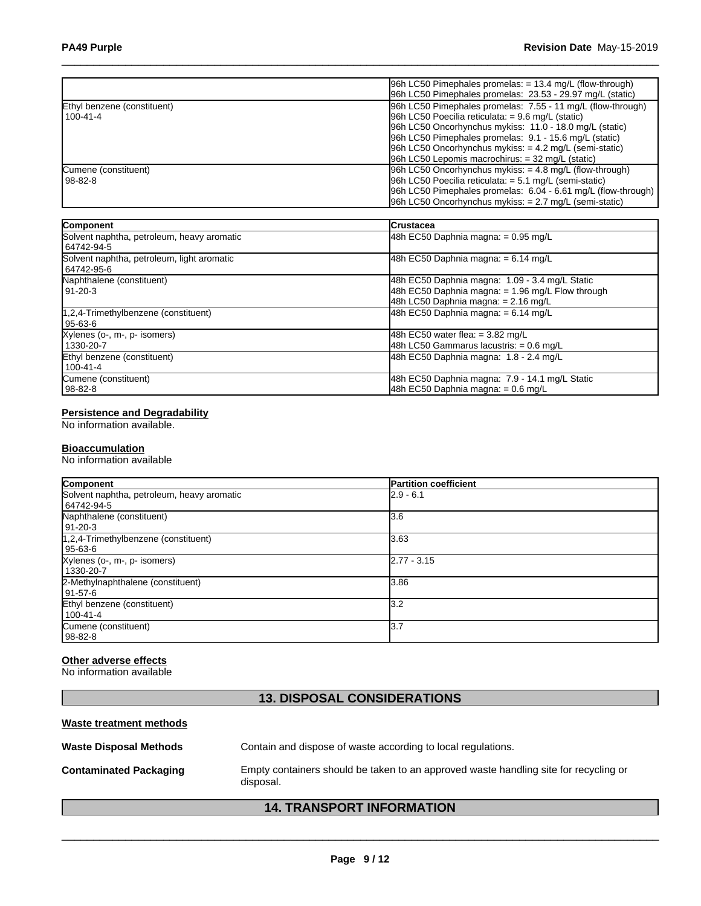|                             | $ 96h$ LC50 Pimephales promelas: $= 13.4$ mg/L (flow-through)  |
|-----------------------------|----------------------------------------------------------------|
|                             | 96h LC50 Pimephales promelas: 23.53 - 29.97 mg/L (static)      |
| Ethyl benzene (constituent) | 96h LC50 Pimephales promelas: 7.55 - 11 mg/L (flow-through)    |
| 100-41-4                    | $ 96h$ LC50 Poecilia reticulata: = 9.6 mg/L (static)           |
|                             | 96h LC50 Oncorhynchus mykiss: 11.0 - 18.0 mg/L (static)        |
|                             | 96h LC50 Pimephales promelas: 9.1 - 15.6 mg/L (static)         |
|                             | 96h LC50 Oncorhynchus mykiss: $= 4.2$ mg/L (semi-static)       |
|                             | $96h$ LC50 Lepomis macrochirus: $=$ 32 mg/L (static)           |
| Cumene (constituent)        | $ 96h$ LC50 Oncorhynchus mykiss: $= 4.8$ mg/L (flow-through)   |
| 98-82-8                     | 96h LC50 Poecilia reticulata: $= 5.1$ mg/L (semi-static)       |
|                             | [96h LC50 Pimephales promelas: 6.04 - 6.61 mg/L (flow-through) |
|                             | $96h$ LC50 Oncorhynchus mykiss: $= 2.7$ mg/L (semi-static)     |

| Component                                                | <b>Crustacea</b>                                                                                                                            |
|----------------------------------------------------------|---------------------------------------------------------------------------------------------------------------------------------------------|
| Solvent naphtha, petroleum, heavy aromatic<br>64742-94-5 | $ 48h$ EC50 Daphnia magna: = 0.95 mg/L                                                                                                      |
| Solvent naphtha, petroleum, light aromatic<br>64742-95-6 | 48h EC50 Daphnia magna: $= 6.14$ mg/L                                                                                                       |
| Naphthalene (constituent)<br>91-20-3                     | 48h EC50 Daphnia magna: 1.09 - 3.4 mg/L Static<br>48h EC50 Daphnia magna: = 1.96 mg/L Flow through<br>48h LC50 Daphnia magna: $= 2.16$ mg/L |
| 1,2,4-Trimethylbenzene (constituent)<br>95-63-6          | 48h EC50 Daphnia magna: $= 6.14$ mg/L                                                                                                       |
| Xylenes (o-, m-, p- isomers)<br>1330-20-7                | 48h EC50 water flea: $= 3.82$ mg/L<br>48h LC50 Gammarus lacustris: = 0.6 mg/L                                                               |
| Ethyl benzene (constituent)<br>100-41-4                  | 48h EC50 Daphnia magna: 1.8 - 2.4 mg/L                                                                                                      |
| Cumene (constituent)<br>98-82-8                          | 48h EC50 Daphnia magna: 7.9 - 14.1 mg/L Static<br>48h EC50 Daphnia magna: = 0.6 mg/L                                                        |

#### **Persistence and Degradability**

No information available.

#### **Bioaccumulation**

No information available

| Component                                  | <b>Partition coefficient</b> |
|--------------------------------------------|------------------------------|
| Solvent naphtha, petroleum, heavy aromatic | $2.9 - 6.1$                  |
| 64742-94-5                                 |                              |
| Naphthalene (constituent)                  | 3.6                          |
| 91-20-3                                    |                              |
| $1,2,4$ -Trimethylbenzene (constituent)    | 3.63                         |
| l 95-63-6                                  |                              |
| Xylenes (o-, m-, p- isomers)               | $2.77 - 3.15$                |
| 1330-20-7                                  |                              |
| 2-Methylnaphthalene (constituent)          | 3.86                         |
| 91-57-6                                    |                              |
| Ethyl benzene (constituent)                | l3.2                         |
| 100-41-4                                   |                              |
| Cumene (constituent)                       | 13.7                         |
| 98-82-8                                    |                              |

### **Other adverse effects**

No information available

### **13. DISPOSAL CONSIDERATIONS**

### **Waste treatment methods**

| <b>Waste Disposal Methods</b> | Contain and dispose of waste according to local regulations.                                      |
|-------------------------------|---------------------------------------------------------------------------------------------------|
| <b>Contaminated Packaging</b> | Empty containers should be taken to an approved waste handling site for recycling or<br>disposal. |

### **14. TRANSPORT INFORMATION**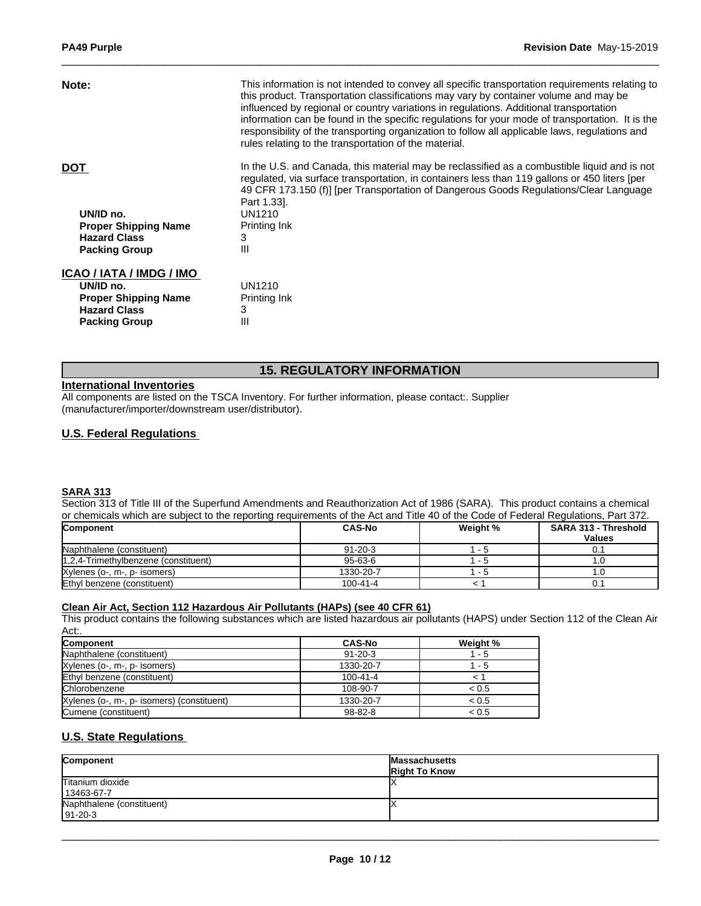| This information is not intended to convey all specific transportation requirements relating to<br>this product. Transportation classifications may vary by container volume and may be<br>influenced by regional or country variations in regulations. Additional transportation<br>information can be found in the specific regulations for your mode of transportation. It is the<br>responsibility of the transporting organization to follow all applicable laws, regulations and<br>rules relating to the transportation of the material. |
|-------------------------------------------------------------------------------------------------------------------------------------------------------------------------------------------------------------------------------------------------------------------------------------------------------------------------------------------------------------------------------------------------------------------------------------------------------------------------------------------------------------------------------------------------|
| In the U.S. and Canada, this material may be reclassified as a combustible liquid and is not<br>regulated, via surface transportation, in containers less than 119 gallons or 450 liters [per                                                                                                                                                                                                                                                                                                                                                   |
| 49 CFR 173.150 (f)] [per Transportation of Dangerous Goods Regulations/Clear Language                                                                                                                                                                                                                                                                                                                                                                                                                                                           |
|                                                                                                                                                                                                                                                                                                                                                                                                                                                                                                                                                 |
|                                                                                                                                                                                                                                                                                                                                                                                                                                                                                                                                                 |
|                                                                                                                                                                                                                                                                                                                                                                                                                                                                                                                                                 |
|                                                                                                                                                                                                                                                                                                                                                                                                                                                                                                                                                 |
|                                                                                                                                                                                                                                                                                                                                                                                                                                                                                                                                                 |
|                                                                                                                                                                                                                                                                                                                                                                                                                                                                                                                                                 |
|                                                                                                                                                                                                                                                                                                                                                                                                                                                                                                                                                 |
|                                                                                                                                                                                                                                                                                                                                                                                                                                                                                                                                                 |
|                                                                                                                                                                                                                                                                                                                                                                                                                                                                                                                                                 |
|                                                                                                                                                                                                                                                                                                                                                                                                                                                                                                                                                 |

### **15. REGULATORY INFORMATION**

### **International Inventories**

All components are listed on the TSCA Inventory. For further information, please contact:. Supplier (manufacturer/importer/downstream user/distributor).

### **U.S. Federal Regulations**

#### **SARA 313**

Section 313 of Title III of the Superfund Amendments and Reauthorization Act of 1986 (SARA). This product contains a chemical or chemicals which are subject to the reporting requirements of the Act and Title 40 of the Code of Federal Regulations, Part 372.

| <b>Component</b>                     | <b>CAS-No</b> | Weight % | <b>SARA 313 - Threshold</b><br><b>Values</b> |
|--------------------------------------|---------------|----------|----------------------------------------------|
|                                      |               |          |                                              |
| Naphthalene (constituent)            | $91 - 20 - 3$ | - ാ      | 0.1                                          |
| 1,2,4-Trimethylbenzene (constituent) | $95 - 63 - 6$ | . .      |                                              |
| Xylenes (o-, m-, p- isomers)         | 1330-20-7     | - 2      |                                              |
| Ethyl benzene (constituent)          | 100-41-4      |          | 0.1                                          |

#### **Clean Air Act,Section 112 Hazardous Air Pollutants (HAPs) (see 40 CFR 61)**

This product contains the following substances which are listed hazardous air pollutants (HAPS) under Section 112 of the Clean Air Act:.

| <b>Component</b>                           | <b>CAS-No</b>  | Weight % |
|--------------------------------------------|----------------|----------|
| Naphthalene (constituent)                  | $91 - 20 - 3$  | $-5$     |
| Xylenes (o-, m-, p- isomers)               | 1330-20-7      | - 5      |
| Ethyl benzene (constituent)                | $100 - 41 - 4$ |          |
| Chlorobenzene                              | 108-90-7       | < 0.5    |
| Xylenes (o-, m-, p- isomers) (constituent) | 1330-20-7      | < 0.5    |
| Cumene (constituent)                       | 98-82-8        | < 0.5    |

### **U.S. State Regulations**

| Component                                   | <b>Massachusetts</b><br><b>Right To Know</b> |
|---------------------------------------------|----------------------------------------------|
| Titanium dioxide<br>13463-67-7              |                                              |
| Naphthalene (constituent)<br>$191 - 20 - 3$ |                                              |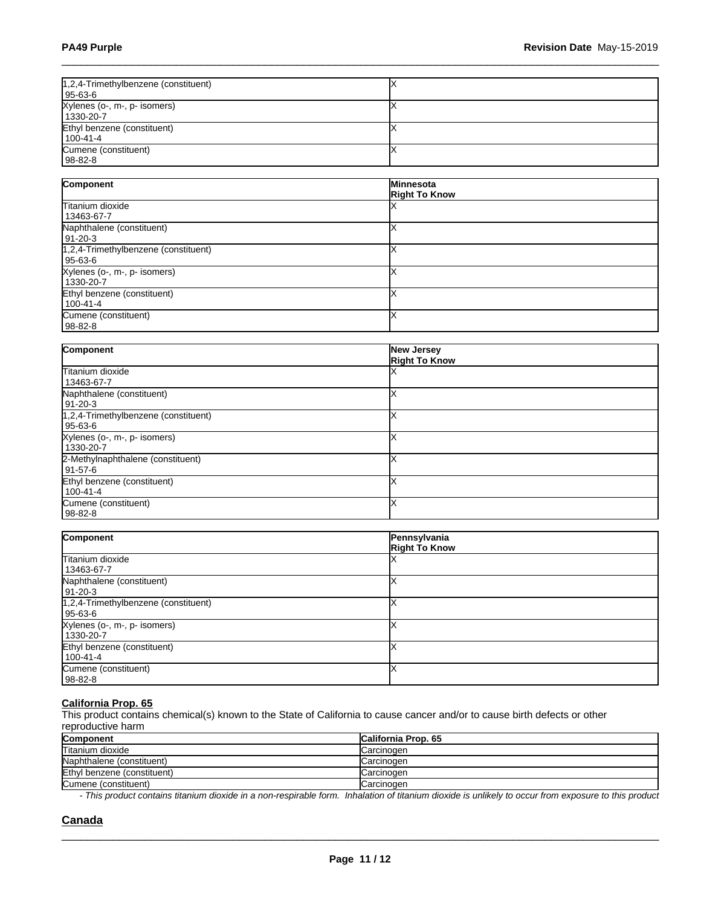| 1,2,4-Trimethylbenzene (constituent) |  |
|--------------------------------------|--|
| 95-63-6                              |  |
| Xylenes (o-, m-, p- isomers)         |  |
| 1330-20-7                            |  |
| Ethyl benzene (constituent)          |  |
| 100-41-4                             |  |
| Cumene (constituent)                 |  |
| 98-82-8                              |  |

| Component                            | <b>Minnesota</b>     |
|--------------------------------------|----------------------|
|                                      | <b>Right To Know</b> |
| Titanium dioxide                     |                      |
| 13463-67-7                           |                      |
| Naphthalene (constituent)            |                      |
| 91-20-3                              |                      |
| 1,2,4-Trimethylbenzene (constituent) |                      |
| 95-63-6                              |                      |
| Xylenes (o-, m-, p- isomers)         |                      |
| 1330-20-7                            |                      |
| Ethyl benzene (constituent)          |                      |
| 100-41-4                             |                      |
| Cumene (constituent)                 |                      |
| $98-82-8$                            |                      |

| Component                            | <b>New Jersey</b><br><b>Right To Know</b> |
|--------------------------------------|-------------------------------------------|
| Titanium dioxide                     |                                           |
| 13463-67-7                           |                                           |
| Naphthalene (constituent)            |                                           |
| $ 91-20-3 $                          |                                           |
| 1,2,4-Trimethylbenzene (constituent) |                                           |
| 95-63-6                              |                                           |
| Xylenes (o-, m-, p- isomers)         |                                           |
| 1330-20-7                            |                                           |
| 2-Methylnaphthalene (constituent)    |                                           |
| 91-57-6                              |                                           |
| Ethyl benzene (constituent)          |                                           |
| 100-41-4                             |                                           |
| Cumene (constituent)                 |                                           |
| 98-82-8                              |                                           |

| Component                                         | Pennsylvania<br><b>Right To Know</b> |
|---------------------------------------------------|--------------------------------------|
| Titanium dioxide<br>13463-67-7                    |                                      |
| Naphthalene (constituent)<br>91-20-3              |                                      |
| 1,2,4-Trimethylbenzene (constituent)<br>  95-63-6 |                                      |
| Xylenes (o-, m-, p- isomers)<br>1330-20-7         |                                      |
| Ethyl benzene (constituent)<br>100-41-4           |                                      |
| Cumene (constituent)<br>  98-82-8                 |                                      |

#### **California Prop. 65**

This product contains chemical(s) known to the State of California to cause cancer and/or to cause birth defects or other reproductive harm

| <b>Component</b>            | <b>California Prop. 65</b> |
|-----------------------------|----------------------------|
| Titanium dioxide            | <b>ICarcinogen</b>         |
| Naphthalene (constituent)   | Carcinogen                 |
| Ethyl benzene (constituent) | Carcinogen                 |
| Cumene (constituent)        | Carcinogen                 |

*- This product contains titanium dioxide in a non-respirable form. Inhalation of titanium dioxide is unlikely to occur from exposure to this product*

 $\_$  ,  $\_$  ,  $\_$  ,  $\_$  ,  $\_$  ,  $\_$  ,  $\_$  ,  $\_$  ,  $\_$  ,  $\_$  ,  $\_$  ,  $\_$  ,  $\_$  ,  $\_$  ,  $\_$  ,  $\_$  ,  $\_$  ,  $\_$  ,  $\_$  ,  $\_$  ,  $\_$  ,  $\_$  ,  $\_$  ,  $\_$  ,  $\_$  ,  $\_$  ,  $\_$  ,  $\_$  ,  $\_$  ,  $\_$  ,  $\_$  ,  $\_$  ,  $\_$  ,  $\_$  ,  $\_$  ,  $\_$  ,  $\_$  ,

### **Canada**